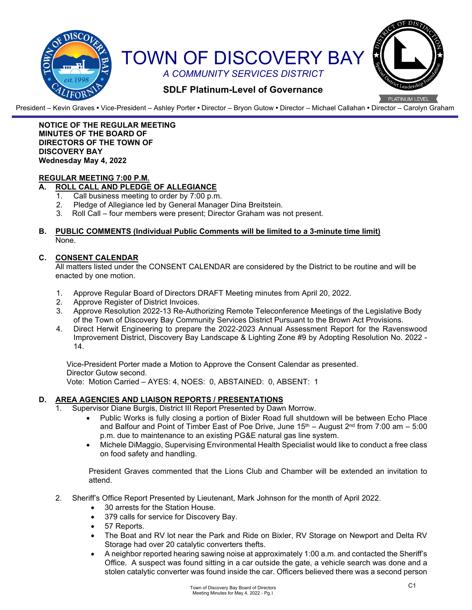

President – Kevin Graves **•** Vice-President – Ashley Porter **•** Director – Bryon Gutow **•** Director – Michael Callahan **•** Director – Carolyn Graham

### **NOTICE OF THE REGULAR MEETING MINUTES OF THE BOARD OF DIRECTORS OF THE TOWN OF DISCOVERY BAY Wednesday May 4, 2022**

## **REGULAR MEETING 7:00 P.M.**

# **A. ROLL CALL AND PLEDGE OF ALLEGIANCE**

- 1. Call business meeting to order by 7:00 p.m.<br>2. Pledge of Allegiance led by General Manage
- Pledge of Allegiance led by General Manager Dina Breitstein.
- 3. Roll Call four members were present; Director Graham was not present.

### **B. PUBLIC COMMENTS (Individual Public Comments will be limited to a 3-minute time limit)** None.

### **C. CONSENT CALENDAR**

All matters listed under the CONSENT CALENDAR are considered by the District to be routine and will be enacted by one motion.

- 1. Approve Regular Board of Directors DRAFT Meeting minutes from April 20, 2022.
- 2. Approve Register of District Invoices.
- 3. Approve Resolution 2022-13 Re-Authorizing Remote Teleconference Meetings of the Legislative Body of the Town of Discovery Bay Community Services District Pursuant to the Brown Act Provisions.
- 4. Direct Herwit Engineering to prepare the 2022-2023 Annual Assessment Report for the Ravenswood Improvement District, Discovery Bay Landscape & Lighting Zone #9 by Adopting Resolution No. 2022 - 14.

Vice-President Porter made a Motion to Approve the Consent Calendar as presented. Director Gutow second.

Vote: Motion Carried – AYES: 4, NOES: 0, ABSTAINED: 0, ABSENT: 1

## **D. AREA AGENCIES AND LIAISON REPORTS / PRESENTATIONS**

- 1. Supervisor Diane Burgis, District III Report Presented by Dawn Morrow.
	- Public Works is fully closing a portion of Bixler Road full shutdown will be between Echo Place and Balfour and Point of Timber East of Poe Drive, June  $15<sup>th</sup> -$  August  $2<sup>nd</sup>$  from 7:00 am – 5:00 p.m. due to maintenance to an existing PG&E natural gas line system.
	- Michele DiMaggio, Supervising Environmental Health Specialist would like to conduct a free class on food safety and handling.

President Graves commented that the Lions Club and Chamber will be extended an invitation to attend.

- 2. Sheriff's Office Report Presented by Lieutenant, Mark Johnson for the month of April 2022.
	- 30 arrests for the Station House.
		- 379 calls for service for Discovery Bay.
		- 57 Reports.
		- The Boat and RV lot near the Park and Ride on Bixler, RV Storage on Newport and Delta RV Storage had over 20 catalytic converters thefts.
		- A neighbor reported hearing sawing noise at approximately 1:00 a.m. and contacted the Sheriff's Office. A suspect was found sitting in a car outside the gate, a vehicle search was done and a stolen catalytic converter was found inside the car. Officers believed there was a second person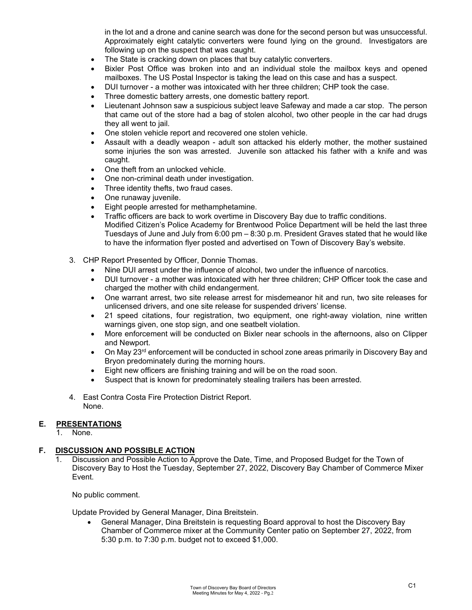in the lot and a drone and canine search was done for the second person but was unsuccessful. Approximately eight catalytic converters were found lying on the ground. Investigators are following up on the suspect that was caught.

- The State is cracking down on places that buy catalytic converters.
- Bixler Post Office was broken into and an individual stole the mailbox keys and opened mailboxes. The US Postal Inspector is taking the lead on this case and has a suspect.
- DUI turnover a mother was intoxicated with her three children; CHP took the case.
- Three domestic battery arrests, one domestic battery report.
- Lieutenant Johnson saw a suspicious subject leave Safeway and made a car stop. The person that came out of the store had a bag of stolen alcohol, two other people in the car had drugs they all went to jail.
- One stolen vehicle report and recovered one stolen vehicle.
- Assault with a deadly weapon adult son attacked his elderly mother, the mother sustained some injuries the son was arrested. Juvenile son attacked his father with a knife and was caught.
- One theft from an unlocked vehicle.
- One non-criminal death under investigation.
- Three identity thefts, two fraud cases.
- One runaway juvenile.
- Eight people arrested for methamphetamine.
- Traffic officers are back to work overtime in Discovery Bay due to traffic conditions. Modified Citizen's Police Academy for Brentwood Police Department will be held the last three Tuesdays of June and July from 6:00 pm – 8:30 p.m. President Graves stated that he would like to have the information flyer posted and advertised on Town of Discovery Bay's website.
- 3. CHP Report Presented by Officer, Donnie Thomas.
	- Nine DUI arrest under the influence of alcohol, two under the influence of narcotics.
	- DUI turnover a mother was intoxicated with her three children; CHP Officer took the case and charged the mother with child endangerment.
	- One warrant arrest, two site release arrest for misdemeanor hit and run, two site releases for unlicensed drivers, and one site release for suspended drivers' license.
	- 21 speed citations, four registration, two equipment, one right-away violation, nine written warnings given, one stop sign, and one seatbelt violation.
	- More enforcement will be conducted on Bixler near schools in the afternoons, also on Clipper and Newport.
	- On May 23<sup>rd</sup> enforcement will be conducted in school zone areas primarily in Discovery Bay and Bryon predominately during the morning hours.
	- Eight new officers are finishing training and will be on the road soon.
	- Suspect that is known for predominately stealing trailers has been arrested.
- 4. East Contra Costa Fire Protection District Report. None.

## **E. PRESENTATIONS**

1. None.

# **F. DISCUSSION AND POSSIBLE ACTION**

1. Discussion and Possible Action to Approve the Date, Time, and Proposed Budget for the Town of Discovery Bay to Host the Tuesday, September 27, 2022, Discovery Bay Chamber of Commerce Mixer Event.

No public comment.

Update Provided by General Manager, Dina Breitstein.

• General Manager, Dina Breitstein is requesting Board approval to host the Discovery Bay Chamber of Commerce mixer at the Community Center patio on September 27, 2022, from 5:30 p.m. to 7:30 p.m. budget not to exceed \$1,000.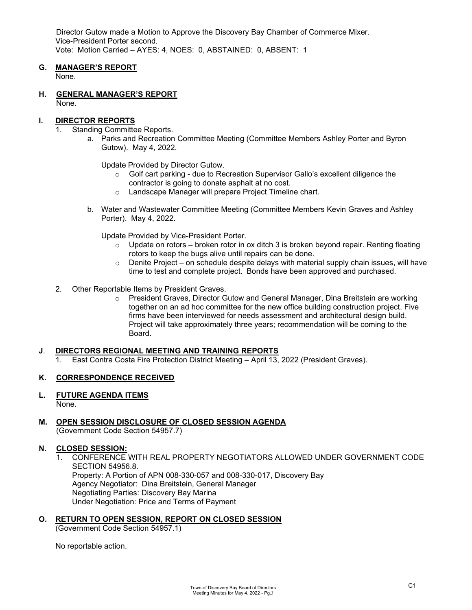Director Gutow made a Motion to Approve the Discovery Bay Chamber of Commerce Mixer. Vice-President Porter second. Vote: Motion Carried – AYES: 4, NOES: 0, ABSTAINED: 0, ABSENT: 1

## **G. MANAGER'S REPORT**

None.

**H. GENERAL MANAGER'S REPORT** None.

### **I. DIRECTOR REPORTS**

- 1. Standing Committee Reports.
	- a. Parks and Recreation Committee Meeting (Committee Members Ashley Porter and Byron Gutow). May 4, 2022.

Update Provided by Director Gutow.

- o Golf cart parking due to Recreation Supervisor Gallo's excellent diligence the contractor is going to donate asphalt at no cost.
- o Landscape Manager will prepare Project Timeline chart.
- b. Water and Wastewater Committee Meeting (Committee Members Kevin Graves and Ashley Porter). May 4, 2022.

Update Provided by Vice-President Porter.

- $\circ$  Update on rotors broken rotor in ox ditch 3 is broken beyond repair. Renting floating rotors to keep the bugs alive until repairs can be done.
- $\circ$  Denite Project on schedule despite delays with material supply chain issues, will have time to test and complete project. Bonds have been approved and purchased.
- 2. Other Reportable Items by President Graves.
	- o President Graves, Director Gutow and General Manager, Dina Breitstein are working together on an ad hoc committee for the new office building construction project. Five firms have been interviewed for needs assessment and architectural design build. Project will take approximately three years; recommendation will be coming to the Board.

### **J**. **DIRECTORS REGIONAL MEETING AND TRAINING REPORTS**

1. East Contra Costa Fire Protection District Meeting – April 13, 2022 (President Graves).

## **K. CORRESPONDENCE RECEIVED**

- **L. FUTURE AGENDA ITEMS** None.
- **M. OPEN SESSION DISCLOSURE OF CLOSED SESSION AGENDA** (Government Code Section 54957.7)

### **N. CLOSED SESSION:**

- 1. CONFERENCE WITH REAL PROPERTY NEGOTIATORS ALLOWED UNDER GOVERNMENT CODE SECTION 54956.8. Property: A Portion of APN 008-330-057 and 008-330-017, Discovery Bay Agency Negotiator: Dina Breitstein, General Manager Negotiating Parties: Discovery Bay Marina Under Negotiation: Price and Terms of Payment
- **O. RETURN TO OPEN SESSION, REPORT ON CLOSED SESSION**

(Government Code Section 54957.1)

No reportable action.